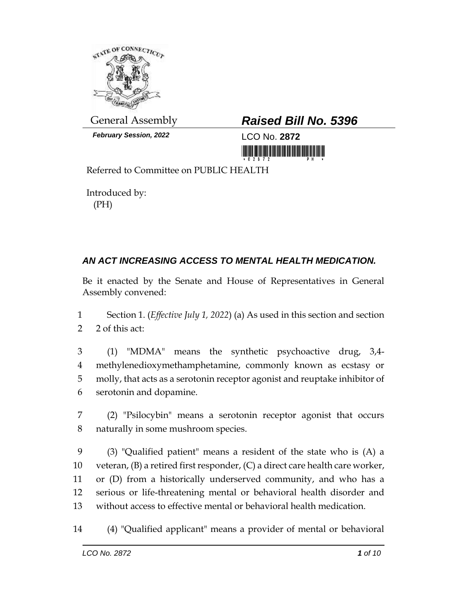

*February Session, 2022* LCO No. **2872**

## General Assembly *Raised Bill No. 5396*

<u> III MARIJINI MATERIAL IN MATERIAL IN MATERIAL IN M</u>

Referred to Committee on PUBLIC HEALTH

Introduced by: (PH)

## *AN ACT INCREASING ACCESS TO MENTAL HEALTH MEDICATION.*

Be it enacted by the Senate and House of Representatives in General Assembly convened:

- 1 Section 1. (*Effective July 1, 2022*) (a) As used in this section and section 2 2 of this act:
- 3 (1) "MDMA" means the synthetic psychoactive drug, 3,4- 4 methylenedioxymethamphetamine, commonly known as ecstasy or 5 molly, that acts as a serotonin receptor agonist and reuptake inhibitor of 6 serotonin and dopamine.
- 7 (2) "Psilocybin" means a serotonin receptor agonist that occurs 8 naturally in some mushroom species.
- 9 (3) "Qualified patient" means a resident of the state who is (A) a 10 veteran, (B) a retired first responder, (C) a direct care health care worker, 11 or (D) from a historically underserved community, and who has a 12 serious or life-threatening mental or behavioral health disorder and 13 without access to effective mental or behavioral health medication.
- 14 (4) "Qualified applicant" means a provider of mental or behavioral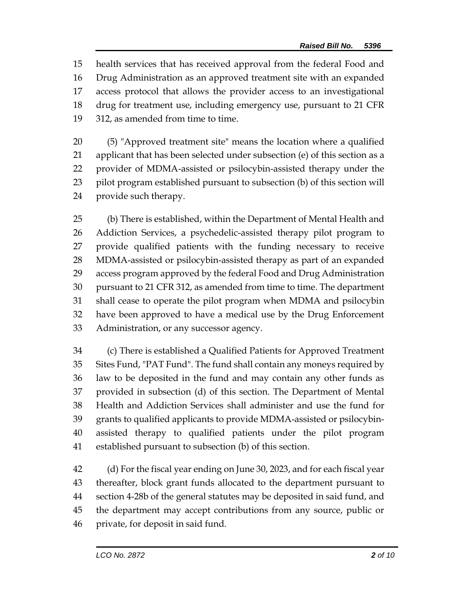health services that has received approval from the federal Food and Drug Administration as an approved treatment site with an expanded access protocol that allows the provider access to an investigational drug for treatment use, including emergency use, pursuant to 21 CFR 312, as amended from time to time.

 (5) "Approved treatment site" means the location where a qualified applicant that has been selected under subsection (e) of this section as a provider of MDMA-assisted or psilocybin-assisted therapy under the pilot program established pursuant to subsection (b) of this section will provide such therapy.

 (b) There is established, within the Department of Mental Health and Addiction Services, a psychedelic-assisted therapy pilot program to provide qualified patients with the funding necessary to receive MDMA-assisted or psilocybin-assisted therapy as part of an expanded access program approved by the federal Food and Drug Administration pursuant to 21 CFR 312, as amended from time to time. The department shall cease to operate the pilot program when MDMA and psilocybin have been approved to have a medical use by the Drug Enforcement Administration, or any successor agency.

 (c) There is established a Qualified Patients for Approved Treatment Sites Fund, "PAT Fund". The fund shall contain any moneys required by law to be deposited in the fund and may contain any other funds as provided in subsection (d) of this section. The Department of Mental Health and Addiction Services shall administer and use the fund for grants to qualified applicants to provide MDMA-assisted or psilocybin- assisted therapy to qualified patients under the pilot program established pursuant to subsection (b) of this section.

 (d) For the fiscal year ending on June 30, 2023, and for each fiscal year thereafter, block grant funds allocated to the department pursuant to section 4-28b of the general statutes may be deposited in said fund, and the department may accept contributions from any source, public or private, for deposit in said fund.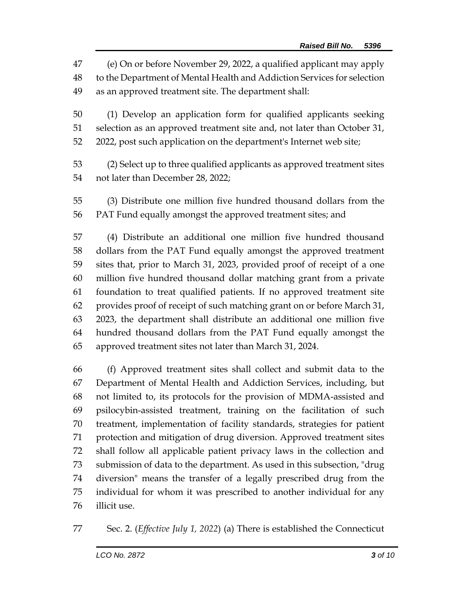(e) On or before November 29, 2022, a qualified applicant may apply to the Department of Mental Health and Addiction Services for selection as an approved treatment site. The department shall:

 (1) Develop an application form for qualified applicants seeking selection as an approved treatment site and, not later than October 31, 2022, post such application on the department's Internet web site;

 (2) Select up to three qualified applicants as approved treatment sites not later than December 28, 2022;

 (3) Distribute one million five hundred thousand dollars from the PAT Fund equally amongst the approved treatment sites; and

 (4) Distribute an additional one million five hundred thousand dollars from the PAT Fund equally amongst the approved treatment sites that, prior to March 31, 2023, provided proof of receipt of a one million five hundred thousand dollar matching grant from a private foundation to treat qualified patients. If no approved treatment site provides proof of receipt of such matching grant on or before March 31, 2023, the department shall distribute an additional one million five hundred thousand dollars from the PAT Fund equally amongst the approved treatment sites not later than March 31, 2024.

 (f) Approved treatment sites shall collect and submit data to the Department of Mental Health and Addiction Services, including, but not limited to, its protocols for the provision of MDMA-assisted and psilocybin-assisted treatment, training on the facilitation of such treatment, implementation of facility standards, strategies for patient protection and mitigation of drug diversion. Approved treatment sites shall follow all applicable patient privacy laws in the collection and submission of data to the department. As used in this subsection, "drug diversion" means the transfer of a legally prescribed drug from the individual for whom it was prescribed to another individual for any illicit use.

Sec. 2. (*Effective July 1, 2022*) (a) There is established the Connecticut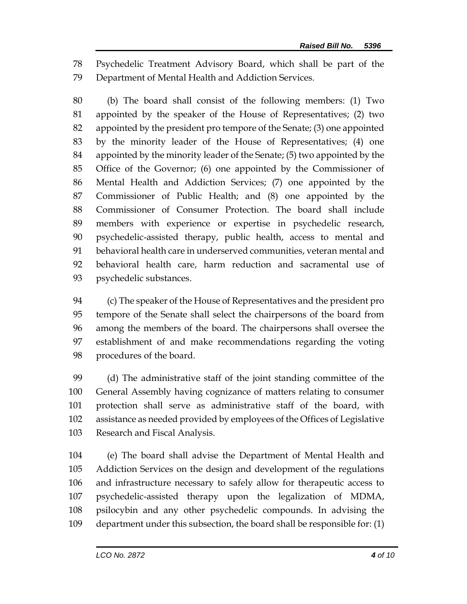Psychedelic Treatment Advisory Board, which shall be part of the Department of Mental Health and Addiction Services.

 (b) The board shall consist of the following members: (1) Two appointed by the speaker of the House of Representatives; (2) two appointed by the president pro tempore of the Senate; (3) one appointed by the minority leader of the House of Representatives; (4) one appointed by the minority leader of the Senate; (5) two appointed by the Office of the Governor; (6) one appointed by the Commissioner of Mental Health and Addiction Services; (7) one appointed by the Commissioner of Public Health; and (8) one appointed by the Commissioner of Consumer Protection. The board shall include members with experience or expertise in psychedelic research, psychedelic-assisted therapy, public health, access to mental and behavioral health care in underserved communities, veteran mental and behavioral health care, harm reduction and sacramental use of psychedelic substances.

 (c) The speaker of the House of Representatives and the president pro tempore of the Senate shall select the chairpersons of the board from among the members of the board. The chairpersons shall oversee the establishment of and make recommendations regarding the voting procedures of the board.

 (d) The administrative staff of the joint standing committee of the General Assembly having cognizance of matters relating to consumer protection shall serve as administrative staff of the board, with assistance as needed provided by employees of the Offices of Legislative Research and Fiscal Analysis.

 (e) The board shall advise the Department of Mental Health and Addiction Services on the design and development of the regulations and infrastructure necessary to safely allow for therapeutic access to psychedelic-assisted therapy upon the legalization of MDMA, psilocybin and any other psychedelic compounds. In advising the department under this subsection, the board shall be responsible for: (1)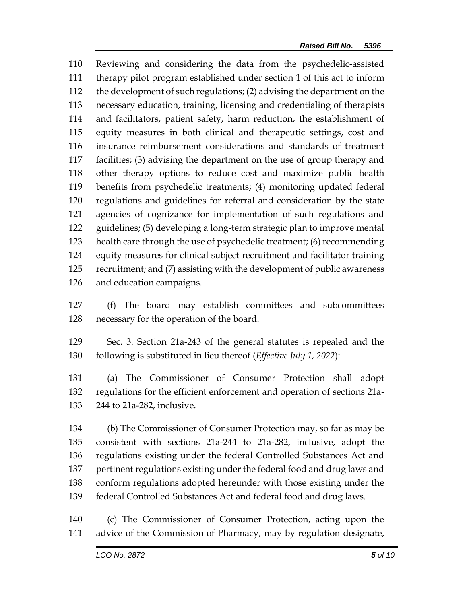Reviewing and considering the data from the psychedelic-assisted therapy pilot program established under section 1 of this act to inform the development of such regulations; (2) advising the department on the necessary education, training, licensing and credentialing of therapists and facilitators, patient safety, harm reduction, the establishment of equity measures in both clinical and therapeutic settings, cost and insurance reimbursement considerations and standards of treatment facilities; (3) advising the department on the use of group therapy and other therapy options to reduce cost and maximize public health benefits from psychedelic treatments; (4) monitoring updated federal regulations and guidelines for referral and consideration by the state agencies of cognizance for implementation of such regulations and guidelines; (5) developing a long-term strategic plan to improve mental health care through the use of psychedelic treatment; (6) recommending equity measures for clinical subject recruitment and facilitator training recruitment; and (7) assisting with the development of public awareness and education campaigns.

 (f) The board may establish committees and subcommittees necessary for the operation of the board.

 Sec. 3. Section 21a-243 of the general statutes is repealed and the following is substituted in lieu thereof (*Effective July 1, 2022*):

 (a) The Commissioner of Consumer Protection shall adopt regulations for the efficient enforcement and operation of sections 21a-244 to 21a-282, inclusive.

 (b) The Commissioner of Consumer Protection may, so far as may be consistent with sections 21a-244 to 21a-282, inclusive, adopt the regulations existing under the federal Controlled Substances Act and pertinent regulations existing under the federal food and drug laws and conform regulations adopted hereunder with those existing under the federal Controlled Substances Act and federal food and drug laws.

 (c) The Commissioner of Consumer Protection, acting upon the advice of the Commission of Pharmacy, may by regulation designate,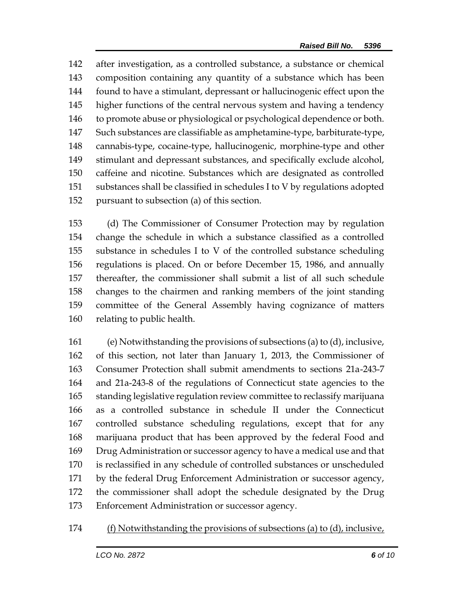after investigation, as a controlled substance, a substance or chemical composition containing any quantity of a substance which has been found to have a stimulant, depressant or hallucinogenic effect upon the higher functions of the central nervous system and having a tendency to promote abuse or physiological or psychological dependence or both. Such substances are classifiable as amphetamine-type, barbiturate-type, cannabis-type, cocaine-type, hallucinogenic, morphine-type and other stimulant and depressant substances, and specifically exclude alcohol, caffeine and nicotine. Substances which are designated as controlled substances shall be classified in schedules I to V by regulations adopted pursuant to subsection (a) of this section.

 (d) The Commissioner of Consumer Protection may by regulation change the schedule in which a substance classified as a controlled substance in schedules I to V of the controlled substance scheduling regulations is placed. On or before December 15, 1986, and annually thereafter, the commissioner shall submit a list of all such schedule changes to the chairmen and ranking members of the joint standing committee of the General Assembly having cognizance of matters relating to public health.

 (e) Notwithstanding the provisions of subsections (a) to (d), inclusive, of this section, not later than January 1, 2013, the Commissioner of Consumer Protection shall submit amendments to sections 21a-243-7 and 21a-243-8 of the regulations of Connecticut state agencies to the standing legislative regulation review committee to reclassify marijuana as a controlled substance in schedule II under the Connecticut controlled substance scheduling regulations, except that for any marijuana product that has been approved by the federal Food and Drug Administration or successor agency to have a medical use and that is reclassified in any schedule of controlled substances or unscheduled by the federal Drug Enforcement Administration or successor agency, the commissioner shall adopt the schedule designated by the Drug Enforcement Administration or successor agency.

(f) Notwithstanding the provisions of subsections (a) to (d), inclusive,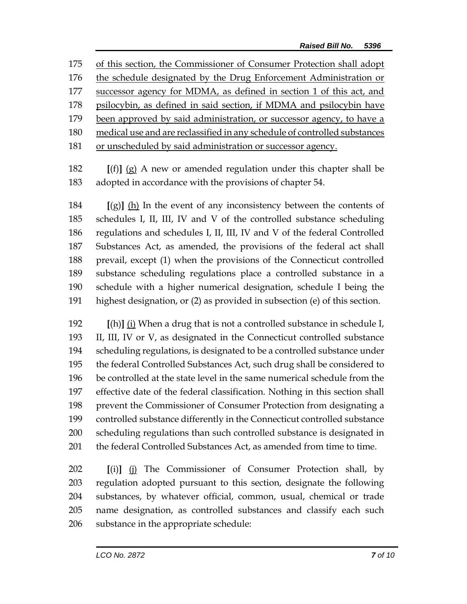of this section, the Commissioner of Consumer Protection shall adopt the schedule designated by the Drug Enforcement Administration or successor agency for MDMA, as defined in section 1 of this act, and psilocybin, as defined in said section, if MDMA and psilocybin have been approved by said administration, or successor agency, to have a medical use and are reclassified in any schedule of controlled substances or unscheduled by said administration or successor agency.

 **[**(f)**]** (g) A new or amended regulation under this chapter shall be adopted in accordance with the provisions of chapter 54.

 **[**(g)**]** (h) In the event of any inconsistency between the contents of schedules I, II, III, IV and V of the controlled substance scheduling regulations and schedules I, II, III, IV and V of the federal Controlled Substances Act, as amended, the provisions of the federal act shall prevail, except (1) when the provisions of the Connecticut controlled substance scheduling regulations place a controlled substance in a schedule with a higher numerical designation, schedule I being the highest designation, or (2) as provided in subsection (e) of this section.

 **[**(h)**]** (i) When a drug that is not a controlled substance in schedule I, II, III, IV or V, as designated in the Connecticut controlled substance scheduling regulations, is designated to be a controlled substance under the federal Controlled Substances Act, such drug shall be considered to be controlled at the state level in the same numerical schedule from the effective date of the federal classification. Nothing in this section shall prevent the Commissioner of Consumer Protection from designating a controlled substance differently in the Connecticut controlled substance scheduling regulations than such controlled substance is designated in 201 the federal Controlled Substances Act, as amended from time to time.

 **[**(i)**]** (j) The Commissioner of Consumer Protection shall, by regulation adopted pursuant to this section, designate the following substances, by whatever official, common, usual, chemical or trade name designation, as controlled substances and classify each such substance in the appropriate schedule: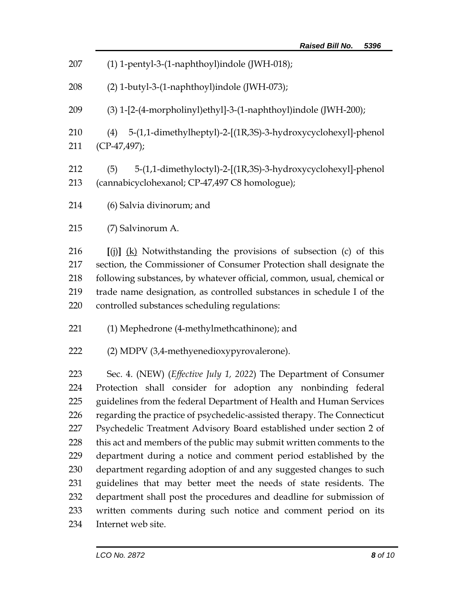| 207                             | (1) 1-pentyl-3-(1-naphthoyl)indole (JWH-018);                                                                                                                                                                                                                                                                                                  |  |  |
|---------------------------------|------------------------------------------------------------------------------------------------------------------------------------------------------------------------------------------------------------------------------------------------------------------------------------------------------------------------------------------------|--|--|
| 208                             | (2) 1-butyl-3-(1-naphthoyl)indole (JWH-073);                                                                                                                                                                                                                                                                                                   |  |  |
| 209                             | (3) 1-[2-(4-morpholinyl)ethyl]-3-(1-naphthoyl)indole (JWH-200);                                                                                                                                                                                                                                                                                |  |  |
| 210<br>211                      | (4) 5-(1,1-dimethylheptyl)-2-[(1R,3S)-3-hydroxycyclohexyl]-phenol<br>$(CP-47, 497);$                                                                                                                                                                                                                                                           |  |  |
| 212<br>213                      | 5-(1,1-dimethyloctyl)-2-[(1R,3S)-3-hydroxycyclohexyl]-phenol<br>(5)<br>(cannabicyclohexanol; CP-47,497 C8 homologue);                                                                                                                                                                                                                          |  |  |
| 214                             | (6) Salvia divinorum; and                                                                                                                                                                                                                                                                                                                      |  |  |
| 215                             | (7) Salvinorum A.                                                                                                                                                                                                                                                                                                                              |  |  |
| 216<br>217<br>218<br>219<br>220 | [(j)] (k) Notwithstanding the provisions of subsection (c) of this<br>section, the Commissioner of Consumer Protection shall designate the<br>following substances, by whatever official, common, usual, chemical or<br>trade name designation, as controlled substances in schedule I of the<br>controlled substances scheduling regulations: |  |  |
| 221                             | (1) Mephedrone (4-methylmethcathinone); and                                                                                                                                                                                                                                                                                                    |  |  |
| 222                             | (2) MDPV (3,4-methyenedioxypyrovalerone).                                                                                                                                                                                                                                                                                                      |  |  |
| 223                             | Sec. 4. (NEW) (Effective July 1, 2022) The Department of Consumer                                                                                                                                                                                                                                                                              |  |  |
| 224                             | Protection shall consider for adoption any nonbinding federal                                                                                                                                                                                                                                                                                  |  |  |
| 225                             | guidelines from the federal Department of Health and Human Services                                                                                                                                                                                                                                                                            |  |  |
| 226                             | regarding the practice of psychedelic-assisted therapy. The Connecticut                                                                                                                                                                                                                                                                        |  |  |
| 227                             | Psychedelic Treatment Advisory Board established under section 2 of                                                                                                                                                                                                                                                                            |  |  |
| 228                             | this act and members of the public may submit written comments to the                                                                                                                                                                                                                                                                          |  |  |
| 229                             | department during a notice and comment period established by the                                                                                                                                                                                                                                                                               |  |  |
| 230                             | department regarding adoption of and any suggested changes to such                                                                                                                                                                                                                                                                             |  |  |
| 231                             | guidelines that may better meet the needs of state residents. The                                                                                                                                                                                                                                                                              |  |  |
| 232                             | department shall post the procedures and deadline for submission of                                                                                                                                                                                                                                                                            |  |  |
| 233                             | written comments during such notice and comment period on its                                                                                                                                                                                                                                                                                  |  |  |
| 234                             | Internet web site.                                                                                                                                                                                                                                                                                                                             |  |  |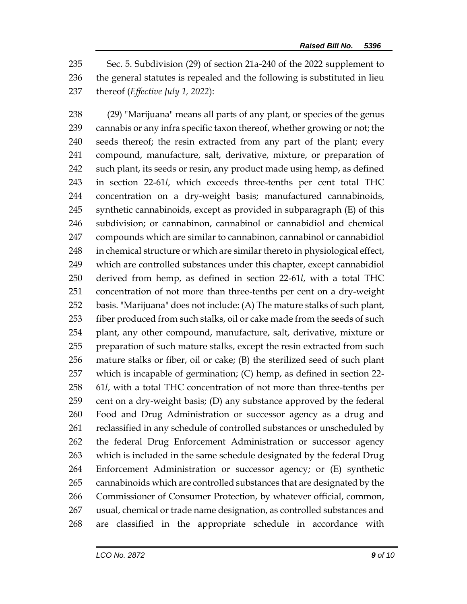Sec. 5. Subdivision (29) of section 21a-240 of the 2022 supplement to the general statutes is repealed and the following is substituted in lieu thereof (*Effective July 1, 2022*):

 (29) "Marijuana" means all parts of any plant, or species of the genus cannabis or any infra specific taxon thereof, whether growing or not; the seeds thereof; the resin extracted from any part of the plant; every compound, manufacture, salt, derivative, mixture, or preparation of 242 such plant, its seeds or resin, any product made using hemp, as defined in section 22-61*l*, which exceeds three-tenths per cent total THC concentration on a dry-weight basis; manufactured cannabinoids, synthetic cannabinoids, except as provided in subparagraph (E) of this subdivision; or cannabinon, cannabinol or cannabidiol and chemical compounds which are similar to cannabinon, cannabinol or cannabidiol 248 in chemical structure or which are similar thereto in physiological effect, which are controlled substances under this chapter, except cannabidiol derived from hemp, as defined in section 22-61*l*, with a total THC concentration of not more than three-tenths per cent on a dry-weight basis. "Marijuana" does not include: (A) The mature stalks of such plant, 253 fiber produced from such stalks, oil or cake made from the seeds of such plant, any other compound, manufacture, salt, derivative, mixture or preparation of such mature stalks, except the resin extracted from such mature stalks or fiber, oil or cake; (B) the sterilized seed of such plant which is incapable of germination; (C) hemp, as defined in section 22- 61*l*, with a total THC concentration of not more than three-tenths per cent on a dry-weight basis; (D) any substance approved by the federal Food and Drug Administration or successor agency as a drug and reclassified in any schedule of controlled substances or unscheduled by the federal Drug Enforcement Administration or successor agency which is included in the same schedule designated by the federal Drug Enforcement Administration or successor agency; or (E) synthetic cannabinoids which are controlled substances that are designated by the Commissioner of Consumer Protection, by whatever official, common, usual, chemical or trade name designation, as controlled substances and are classified in the appropriate schedule in accordance with